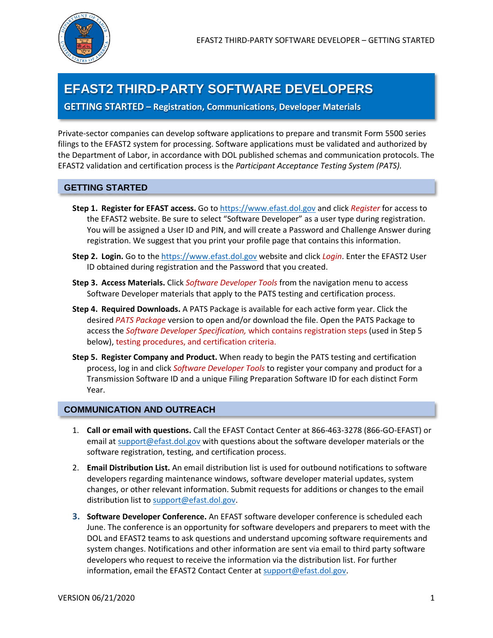## **EFAST2 THIRD-PARTY SOFTWARE DEVELOPERS**

**GETTING STARTED – Registration, Communications, Developer Materials**

Private-sector companies can develop software applications to prepare and transmit Form 5500 series filings to the EFAST2 system for processing. Software applications must be validated and authorized by the Department of Labor, in accordance with DOL published schemas and communication protocols. The EFAST2 validation and certification process is the *Participant Acceptance Testing System (PATS).*

## **GETTING STARTED**

- **Step 1. Register for EFAST access.** Go to [https://www.efast.dol.gov](https://www.efast.dol.gov/) and click *Register* for access to the EFAST2 website. Be sure to select "Software Developer" as a user type during registration. You will be assigned a User ID and PIN, and will create a Password and Challenge Answer during registration. We suggest that you print your profile page that contains this information.
- **Step 2. Login.** Go to th[e https://www.efast.dol.gov](https://www.efast.dol.gov/) website and click *Login*. Enter the EFAST2 User ID obtained during registration and the Password that you created.
- **Step 3. Access Materials.** Click *Software Developer Tools* from the navigation menu to access Software Developer materials that apply to the PATS testing and certification process.
- **Step 4. Required Downloads.** A PATS Package is available for each active form year. Click the desired *PATS Package* version to open and/or download the file. Open the PATS Package to access the *Software Developer Specification,* which contains registration steps (used in Step 5 below), testing procedures, and certification criteria.
- **Step 5. Register Company and Product.** When ready to begin the PATS testing and certification process, log in and click *Software Developer Tools* to register your company and product for a Transmission Software ID and a unique Filing Preparation Software ID for each distinct Form Year.

## **COMMUNICATION AND OUTREACH**

- 1. **Call or email with questions.** Call the EFAST Contact Center at 866-463-3278 (866-GO-EFAST) or email at [support@efast.dol.gov](mailto:support@efast.dol.gov) with questions about the software developer materials or the software registration, testing, and certification process.
- 2. **Email Distribution List.** An email distribution list is used for outbound notifications to software developers regarding maintenance windows, software developer material updates, system changes, or other relevant information. Submit requests for additions or changes to the email distribution list to [support@efast.dol.gov.](mailto:support@efast.dol.gov)
- **3. Software Developer Conference.** An EFAST software developer conference is scheduled each June. The conference is an opportunity for software developers and preparers to meet with the DOL and EFAST2 teams to ask questions and understand upcoming software requirements and system changes. Notifications and other information are sent via email to third party software developers who request to receive the information via the distribution list. For further information, email the EFAST2 Contact Center at [support@efast.dol.gov.](mailto:support@efast.dol.gov)